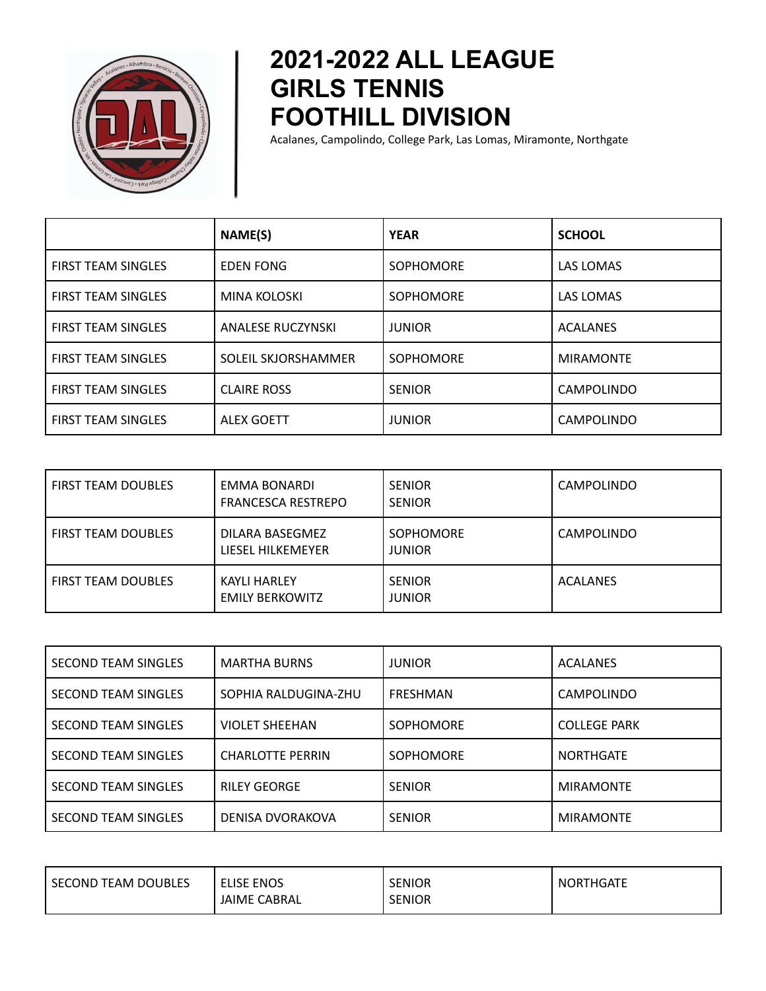

## **2021-2022 ALL LEAGUE GIRLS TENNIS FOOTHILL DIVISION**

Acalanes, Campolindo, College Park, Las Lomas, Miramonte, Northgate

|                           | NAME(S)                  | <b>YEAR</b>      | <b>SCHOOL</b>     |
|---------------------------|--------------------------|------------------|-------------------|
| <b>FIRST TEAM SINGLES</b> | <b>EDEN FONG</b>         | <b>SOPHOMORE</b> | LAS LOMAS         |
| <b>FIRST TEAM SINGLES</b> | <b>MINA KOLOSKI</b>      | <b>SOPHOMORE</b> | LAS LOMAS         |
| <b>FIRST TEAM SINGLES</b> | <b>ANALESE RUCZYNSKI</b> | <b>JUNIOR</b>    | <b>ACALANES</b>   |
| <b>FIRST TEAM SINGLES</b> | SOLEIL SKJORSHAMMER      | <b>SOPHOMORE</b> | <b>MIRAMONTE</b>  |
| <b>FIRST TEAM SINGLES</b> | <b>CLAIRE ROSS</b>       | <b>SENIOR</b>    | <b>CAMPOLINDO</b> |
| <b>FIRST TEAM SINGLES</b> | <b>ALEX GOETT</b>        | JUNIOR           | <b>CAMPOLINDO</b> |

| <b>FIRST TEAM DOUBLES</b> | EMMA BONARDI<br><b>FRANCESCA RESTREPO</b>     | <b>SENIOR</b><br><b>SENIOR</b>    | <b>CAMPOLINDO</b> |
|---------------------------|-----------------------------------------------|-----------------------------------|-------------------|
| <b>FIRST TEAM DOUBLES</b> | DILARA BASEGMEZ<br>LIESEL HILKEMEYER          | <b>SOPHOMORE</b><br><b>JUNIOR</b> | <b>CAMPOLINDO</b> |
| <b>FIRST TEAM DOUBLES</b> | <b>KAYLI HARLEY</b><br><b>EMILY BERKOWITZ</b> | <b>SENIOR</b><br><b>JUNIOR</b>    | <b>ACALANES</b>   |

| <b>SECOND TEAM SINGLES</b> | <b>MARTHA BURNS</b>     | <b>JUNIOR</b>    | <b>ACALANES</b>     |
|----------------------------|-------------------------|------------------|---------------------|
| <b>SECOND TEAM SINGLES</b> | SOPHIA RALDUGINA-ZHU    | <b>FRESHMAN</b>  | <b>CAMPOLINDO</b>   |
| <b>SECOND TEAM SINGLES</b> | <b>VIOLET SHEEHAN</b>   | <b>SOPHOMORE</b> | <b>COLLEGE PARK</b> |
| <b>SECOND TEAM SINGLES</b> | <b>CHARLOTTE PERRIN</b> | <b>SOPHOMORE</b> | <b>NORTHGATE</b>    |
| <b>SECOND TEAM SINGLES</b> | <b>RILEY GEORGE</b>     | <b>SENIOR</b>    | <b>MIRAMONTE</b>    |
| <b>SECOND TEAM SINGLES</b> | <b>DENISA DVORAKOVA</b> | <b>SENIOR</b>    | <b>MIRAMONTE</b>    |

| SECOND TEAM DOUBLES | <b>ELISE ENOS</b>   | <b>SENIOR</b> | <b>NORTHGATE</b> |
|---------------------|---------------------|---------------|------------------|
|                     | <b>JAIME CABRAL</b> | <b>SENIOR</b> |                  |